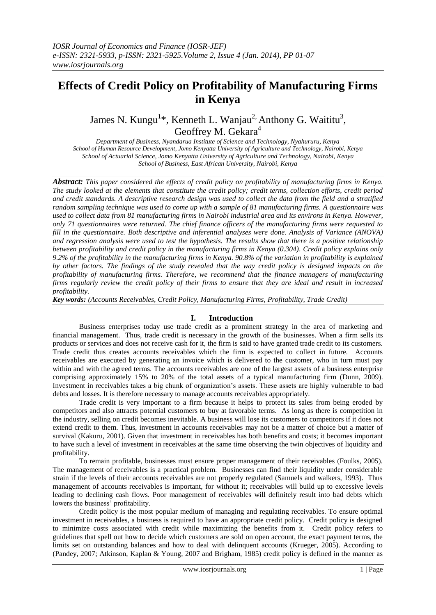# **Effects of Credit Policy on Profitability of Manufacturing Firms in Kenya**

James N. Kungu<sup>1\*</sup>, Kenneth L. Wanjau<sup>2,</sup> Anthony G. Waititu<sup>3</sup>, Geoffrey M. Gekara<sup>4</sup>

*Department of Business, Nyandarua Institute of Science and Technology, Nyahururu, Kenya School of Human Resource Development, Jomo Kenyatta University of Agriculture and Technology, Nairobi, Kenya School of Actuarial Science, Jomo Kenyatta University of Agriculture and Technology, Nairobi, Kenya School of Business, East African University, Nairobi, Kenya*

*Abstract: This paper considered the effects of credit policy on profitability of manufacturing firms in Kenya. The study looked at the elements that constitute the credit policy; credit terms, collection efforts, credit period and credit standards. A descriptive research design was used to collect the data from the field and a stratified random sampling technique was used to come up with a sample of 81 manufacturing firms. A questionnaire was used to collect data from 81 manufacturing firms in Nairobi industrial area and its environs in Kenya. However, only 71 questionnaires were returned. The chief finance officers of the manufacturing firms were requested to fill in the questionnaire. Both descriptive and inferential analyses were done. Analysis of Variance (ANOVA) and regression analysis were used to test the hypothesis. The results show that there is a positive relationship between profitability and credit policy in the manufacturing firms in Kenya (0.304). Credit policy explains only 9.2% of the profitability in the manufacturing firms in Kenya. 90.8% of the variation in profitability is explained by other factors. The findings of the study revealed that the way credit policy is designed impacts on the profitability of manufacturing firms. Therefore, we recommend that the finance managers of manufacturing firms regularly review the credit policy of their firms to ensure that they are ideal and result in increased profitability.*

*Key words: (Accounts Receivables, Credit Policy, Manufacturing Firms, Profitability, Trade Credit)*

# **I. Introduction**

Business enterprises today use trade credit as a prominent strategy in the area of marketing and financial management. Thus, trade credit is necessary in the growth of the businesses. When a firm sells its products or services and does not receive cash for it, the firm is said to have granted trade credit to its customers. Trade credit thus creates accounts receivables which the firm is expected to collect in future. Accounts receivables are executed by generating an invoice which is delivered to the customer, who in turn must pay within and with the agreed terms. The accounts receivables are one of the largest assets of a business enterprise comprising approximately 15% to 20% of the total assets of a typical manufacturing firm (Dunn, 2009). Investment in receivables takes a big chunk of organization"s assets. These assets are highly vulnerable to bad debts and losses. It is therefore necessary to manage accounts receivables appropriately.

Trade credit is very important to a firm because it helps to protect its sales from being eroded by competitors and also attracts potential customers to buy at favorable terms. As long as there is competition in the industry, selling on credit becomes inevitable. A business will lose its customers to competitors if it does not extend credit to them. Thus, investment in accounts receivables may not be a matter of choice but a matter of survival (Kakuru, 2001). Given that investment in receivables has both benefits and costs; it becomes important to have such a level of investment in receivables at the same time observing the twin objectives of liquidity and profitability.

To remain profitable, businesses must ensure proper management of their receivables (Foulks, 2005). The management of receivables is a practical problem. Businesses can find their liquidity under considerable strain if the levels of their accounts receivables are not properly regulated (Samuels and walkers, 1993). Thus management of accounts receivables is important, for without it; receivables will build up to excessive levels leading to declining cash flows. Poor management of receivables will definitely result into bad debts which lowers the business' profitability.

Credit policy is the most popular medium of managing and regulating receivables. To ensure optimal investment in receivables, a business is required to have an appropriate credit policy. Credit policy is designed to minimize costs associated with credit while maximizing the benefits from it. Credit policy refers to guidelines that spell out how to decide which customers are sold on open account, the exact payment terms, the limits set on outstanding balances and how to deal with delinquent accounts (Krueger, 2005). According to (Pandey, 2007; Atkinson, Kaplan & Young, 2007 and Brigham, 1985) credit policy is defined in the manner as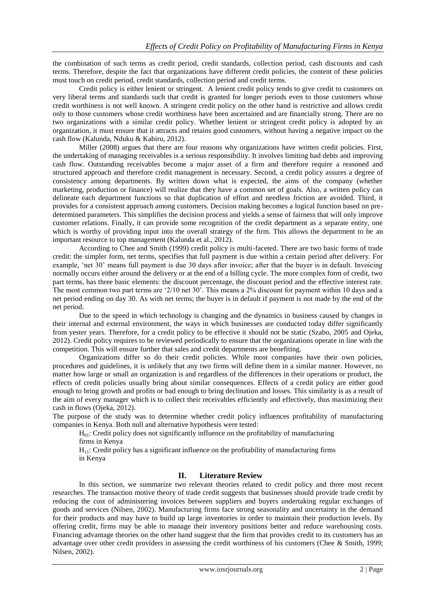the combination of such terms as credit period, credit standards, collection period, cash discounts and cash terms. Therefore, despite the fact that organizations have different credit policies, the content of these policies must touch on credit period, credit standards, collection period and credit terms.

Credit policy is either lenient or stringent. A lenient credit policy tends to give credit to customers on very liberal terms and standards such that credit is granted for longer periods even to those customers whose credit worthiness is not well known. A stringent credit policy on the other hand is restrictive and allows credit only to those customers whose credit worthiness have been ascertained and are financially strong. There are no two organizations with a similar credit policy. Whether lenient or stringent credit policy is adopted by an organization, it must ensure that it attracts and retains good customers, without having a negative impact on the cash flow (Kalunda, Nduku & Kabiru, 2012).

Miller (2008) argues that there are four reasons why organizations have written credit policies. First, the undertaking of managing receivables is a serious responsibility. It involves limiting bad debts and improving cash flow. Outstanding receivables become a major asset of a firm and therefore require a reasoned and structured approach and therefore credit management is necessary. Second, a credit policy assures a degree of consistency among departments. By written down what is expected, the aims of the company (whether marketing, production or finance) will realize that they have a common set of goals. Also, a written policy can delineate each department functions so that duplication of effort and needless friction are avoided. Third, it provides for a consistent approach among customers. Decision making becomes a logical function based on predetermined parameters. This simplifies the decision process and yields a sense of fairness that will only improve customer relations. Finally, it can provide some recognition of the credit department as a separate entity, one which is worthy of providing input into the overall strategy of the firm. This allows the department to be an important resource to top management (Kalunda et al., 2012).

According to Chee and Smith (1999) credit policy is multi-faceted. There are two basic forms of trade credit: the simpler form, net terms, specifies that full payment is due within a certain period after delivery. For example, 'net 30' means full payment is due 30 days after invoice; after that the buyer is in default. Invoicing normally occurs either around the delivery or at the end of a billing cycle. The more complex form of credit, two part terms, has three basic elements: the discount percentage, the discount period and the effective interest rate. The most common two part terms are '2/10 net 30'. This means a 2% discount for payment within 10 days and a net period ending on day 30. As with net terms; the buyer is in default if payment is not made by the end of the net period.

Due to the speed in which technology is changing and the dynamics in business caused by changes in their internal and external environment, the ways in which businesses are conducted today differ significantly from yester years. Therefore, for a credit policy to be effective it should not be static (Szabo, 2005 and Ojeka, 2012). Credit policy requires to be reviewed periodically to ensure that the organizations operate in line with the competition. This will ensure further that sales and credit departments are benefiting.

Organizations differ so do their credit policies. While most companies have their own policies, procedures and guidelines, it is unlikely that any two firms will define them in a similar manner. However, no matter how large or small an organization is and regardless of the differences in their operations or product, the effects of credit policies usually bring about similar consequences. Effects of a credit policy are either good enough to bring growth and profits or bad enough to bring declination and losses. This similarity is as a result of the aim of every manager which is to collect their receivables efficiently and effectively, thus maximizing their cash in flows (Ojeka, 2012).

The purpose of the study was to determine whether credit policy influences profitability of manufacturing companies in Kenya. Both null and alternative hypothesis were tested:

 $H<sub>01</sub>$ : Credit policy does not significantly influence on the profitability of manufacturing firms in Kenya

 $H<sub>11</sub>$ : Credit policy has a significant influence on the profitability of manufacturing firms in Kenya

# **II. Literature Review**

In this section, we summarize two relevant theories related to credit policy and three most recent researches. The transaction motive theory of trade credit suggests that businesses should provide trade credit by reducing the cost of administering invoices between suppliers and buyers undertaking regular exchanges of goods and services (Nilsen, 2002). Manufacturing firms face strong seasonality and uncertainty in the demand for their products and may have to build up large inventories in order to maintain their production levels. By offering credit, firms may be able to manage their inventory positions better and reduce warehousing costs. Financing advantage theories on the other hand suggest that the firm that provides credit to its customers has an advantage over other credit providers in assessing the credit worthiness of his customers (Chee & Smith, 1999; Nilsen, 2002).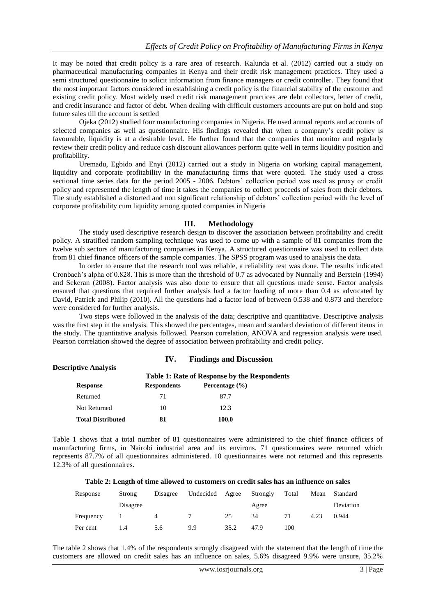It may be noted that credit policy is a rare area of research. Kalunda et al. (2012) carried out a study on pharmaceutical manufacturing companies in Kenya and their credit risk management practices. They used a semi structured questionnaire to solicit information from finance managers or credit controller. They found that the most important factors considered in establishing a credit policy is the financial stability of the customer and existing credit policy. Most widely used credit risk management practices are debt collectors, letter of credit, and credit insurance and factor of debt. When dealing with difficult customers accounts are put on hold and stop future sales till the account is settled

Ojeka (2012) studied four manufacturing companies in Nigeria. He used annual reports and accounts of selected companies as well as questionnaire. His findings revealed that when a company's credit policy is favourable, liquidity is at a desirable level. He further found that the companies that monitor and regularly review their credit policy and reduce cash discount allowances perform quite well in terms liquidity position and profitability.

Uremadu, Egbido and Enyi (2012) carried out a study in Nigeria on working capital management, liquidity and corporate profitability in the manufacturing firms that were quoted. The study used a cross sectional time series data for the period 2005 - 2006. Debtors' collection period was used as proxy or credit policy and represented the length of time it takes the companies to collect proceeds of sales from their debtors. The study established a distorted and non significant relationship of debtors" collection period with the level of corporate profitability cum liquidity among quoted companies in Nigeria

# **III. Methodology**

The study used descriptive research design to discover the association between profitability and credit policy. A stratified random sampling technique was used to come up with a sample of 81 companies from the twelve sub sectors of manufacturing companies in Kenya. A structured questionnaire was used to collect data from 81 chief finance officers of the sample companies. The SPSS program was used to analysis the data.

In order to ensure that the research tool was reliable, a reliability test was done. The results indicated Cronbach"s alpha of 0.828. This is more than the threshold of 0.7 as advocated by Nunnally and Berstein (1994) and Sekeran (2008). Factor analysis was also done to ensure that all questions made sense. Factor analysis ensured that questions that required further analysis had a factor loading of more than 0.4 as advocated by David, Patrick and Philip (2010). All the questions had a factor load of between 0.538 and 0.873 and therefore were considered for further analysis.

Two steps were followed in the analysis of the data; descriptive and quantitative. Descriptive analysis was the first step in the analysis. This showed the percentages, mean and standard deviation of different items in the study. The quantitative analysis followed. Pearson correlation, ANOVA and regression analysis were used. Pearson correlation showed the degree of association between profitability and credit policy.

| <b>Findings and Discussion</b><br>IV.<br><b>Descriptive Analysis</b> |                                                     |                    |  |  |  |  |
|----------------------------------------------------------------------|-----------------------------------------------------|--------------------|--|--|--|--|
|                                                                      | <b>Table 1: Rate of Response by the Respondents</b> |                    |  |  |  |  |
| <b>Response</b>                                                      | <b>Respondents</b>                                  | Percentage $(\% )$ |  |  |  |  |
| Returned                                                             | 71                                                  | 87.7               |  |  |  |  |
| Not Returned                                                         | 10                                                  | 12.3               |  |  |  |  |
| <b>Total Distributed</b>                                             | 81                                                  | 100.0              |  |  |  |  |

Table 1 shows that a total number of 81 questionnaires were administered to the chief finance officers of manufacturing firms, in Nairobi industrial area and its environs. 71 questionnaires were returned which represents 87.7% of all questionnaires administered. 10 questionnaires were not returned and this represents 12.3% of all questionnaires.

#### **Table 2: Length of time allowed to customers on credit sales has an influence on sales**

| Response  | Strong   | Disagree | Undecided | Agree | Strongly | Total | Mean | Standard  |
|-----------|----------|----------|-----------|-------|----------|-------|------|-----------|
|           | Disagree |          |           |       | Agree    |       |      | Deviation |
| Frequency |          |          |           | 25    | 34       | 71    | 4.23 | 0.944     |
| Per cent  |          | 5.6      | 9.9       | 35.2  | 47.9     | 100   |      |           |

The table 2 shows that 1.4% of the respondents strongly disagreed with the statement that the length of time the customers are allowed on credit sales has an influence on sales, 5.6% disagreed 9.9% were unsure, 35.2%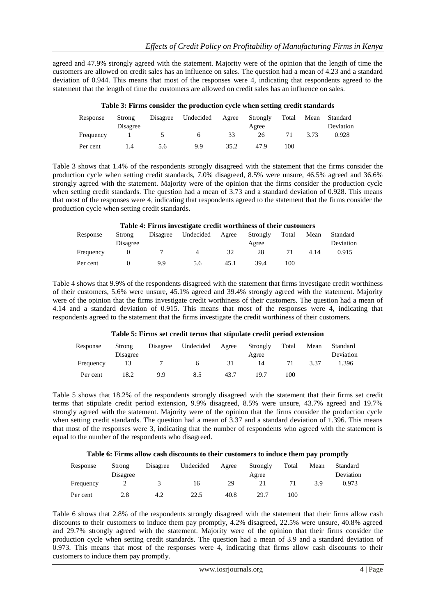agreed and 47.9% strongly agreed with the statement. Majority were of the opinion that the length of time the customers are allowed on credit sales has an influence on sales. The question had a mean of 4.23 and a standard deviation of 0.944. This means that most of the responses were 4, indicating that respondents agreed to the statement that the length of time the customers are allowed on credit sales has an influence on sales.

|           |          | Tuon of Themo consider the production of the when setting erective station as |    |       |    |      |                     |
|-----------|----------|-------------------------------------------------------------------------------|----|-------|----|------|---------------------|
| Response  | Strong   | Disagree Undecided Agree Strongly                                             |    |       |    |      | Total Mean Standard |
|           | Disagree |                                                                               |    | Agree |    |      | Deviation           |
| Frequency |          | <sub>0</sub>                                                                  | 33 | 26    | 71 | 3.73 | 0.928               |
|           |          |                                                                               |    |       |    |      |                     |

Per cent 1.4 5.6 9.9 35.2 47.9 100

# **Table 3: Firms consider the production cycle when setting credit standards**

Table 3 shows that 1.4% of the respondents strongly disagreed with the statement that the firms consider the production cycle when setting credit standards, 7.0% disagreed, 8.5% were unsure, 46.5% agreed and 36.6% strongly agreed with the statement. Majority were of the opinion that the firms consider the production cycle when setting credit standards. The question had a mean of 3.73 and a standard deviation of 0.928. This means that most of the responses were 4, indicating that respondents agreed to the statement that the firms consider the production cycle when setting credit standards.

| Table 4: Firms investigate credit worthiness of their customers |          |          |           |       |          |       |      |           |  |
|-----------------------------------------------------------------|----------|----------|-----------|-------|----------|-------|------|-----------|--|
| Response                                                        | Strong   | Disagree | Undecided | Agree | Strongly | Total | Mean | Standard  |  |
|                                                                 | Disagree |          |           |       | Agree    |       |      | Deviation |  |
| Frequency                                                       |          |          | 4         | 32    | 28       |       | 4.14 | 0.915     |  |
| Per cent                                                        |          | 9.9      | 5.6       | 45.1  | 39.4     | 100   |      |           |  |

Table 4 shows that 9.9% of the respondents disagreed with the statement that firms investigate credit worthiness of their customers, 5.6% were unsure, 45.1% agreed and 39.4% strongly agreed with the statement. Majority were of the opinion that the firms investigate credit worthiness of their customers. The question had a mean of 4.14 and a standard deviation of 0.915. This means that most of the responses were 4, indicating that respondents agreed to the statement that the firms investigate the credit worthiness of their customers.

# **Table 5: Firms set credit terms that stipulate credit period extension**

| Response  | Strong<br>Disagree | Disagree | Undecided | Agree | Strongly<br>Agree | Total | Mean | Standard<br>Deviation |
|-----------|--------------------|----------|-----------|-------|-------------------|-------|------|-----------------------|
| Frequency |                    |          |           | 31    | 14                |       | 3.37 | 1.396                 |
| Per cent  | 18.2               | 9.9      | 8.5       | 43.7  | 19.7              | 100   |      |                       |

Table 5 shows that 18.2% of the respondents strongly disagreed with the statement that their firms set credit terms that stipulate credit period extension, 9.9% disagreed, 8.5% were unsure, 43.7% agreed and 19.7% strongly agreed with the statement. Majority were of the opinion that the firms consider the production cycle when setting credit standards. The question had a mean of 3.37 and a standard deviation of 1.396. This means that most of the responses were 3, indicating that the number of respondents who agreed with the statement is equal to the number of the respondents who disagreed.

# **Table 6: Firms allow cash discounts to their customers to induce them pay promptly**

| Response  | Strong   | Disagree | Undecided | Agree | Strongly | Total | Mean | Standard  |
|-----------|----------|----------|-----------|-------|----------|-------|------|-----------|
|           | Disagree |          |           |       | Agree    |       |      | Deviation |
| Frequency |          |          | 16        | 29    |          |       | 3 Q  | 0.973     |
| Per cent  | 2.8      | 4.2      | 22.5      | 40.8  | 29.7     | 100   |      |           |

Table 6 shows that 2.8% of the respondents strongly disagreed with the statement that their firms allow cash discounts to their customers to induce them pay promptly, 4.2% disagreed, 22.5% were unsure, 40.8% agreed and 29.7% strongly agreed with the statement. Majority were of the opinion that their firms consider the production cycle when setting credit standards. The question had a mean of 3.9 and a standard deviation of 0.973. This means that most of the responses were 4, indicating that firms allow cash discounts to their customers to induce them pay promptly.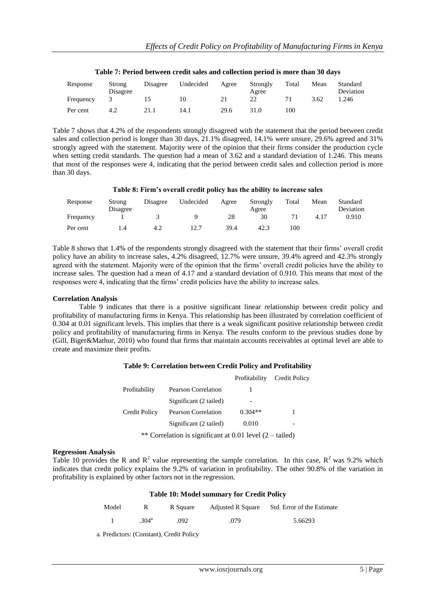| Response  | Strong<br>Disagree | Disagree | Undecided | Agree | Strongly<br>Agree | Total | Mean | Standard<br>Deviation |
|-----------|--------------------|----------|-----------|-------|-------------------|-------|------|-----------------------|
| Frequency |                    |          | 10        | 21    | 22                |       | 3.62 | .246                  |
| Per cent  | 4.2                | 21.1     | 14.1      | 29.6  | 31.0              | 100   |      |                       |

#### **Table 7: Period between credit sales and collection period is more than 30 days**

Table 7 shows that 4.2% of the respondents strongly disagreed with the statement that the period between credit sales and collection period is longer than 30 days, 21.1% disagreed, 14.1% were unsure, 29.6% agreed and 31% strongly agreed with the statement. Majority were of the opinion that their firms consider the production cycle when setting credit standards. The question had a mean of 3.62 and a standard deviation of 1.246. This means that most of the responses were 4, indicating that the period between credit sales and collection period is more than 30 days.

# **Table 8: Firm's overall credit policy has the ability to increase sales**

| Response  | Strong<br>Disagree | Disagree | Undecided | Agree | Strongly<br>Agree | Total | Mean | Standard<br>Deviation |
|-----------|--------------------|----------|-----------|-------|-------------------|-------|------|-----------------------|
| Frequency |                    |          |           | 28    | 30                |       | 4.17 | 0.910                 |
| Per cent  |                    | 4.2      | 12.7      | 39.4  | 42.3              | 100   |      |                       |

Table 8 shows that 1.4% of the respondents strongly disagreed with the statement that their firms" overall credit policy have an ability to increase sales, 4.2% disagreed, 12.7% were unsure, 39.4% agreed and 42.3% strongly agreed with the statement. Majority were of the opinion that the firms" overall credit policies have the ability to increase sales. The question had a mean of 4.17 and a standard deviation of 0.910. This means that most of the responses were 4, indicating that the firms' credit policies have the ability to increase sales.

#### **Correlation Analysis**

Table 9 indicates that there is a positive significant linear relationship between credit policy and profitability of manufacturing firms in Kenya. This relationship has been illustrated by correlation coefficient of 0.304 at 0.01 significant levels. This implies that there is a weak significant positive relationship between credit policy and profitability of manufacturing firms in Kenya. The results conform to the previous studies done by (Gill, Biger&Mathur, 2010) who found that firms that maintain accounts receivables at optimal level are able to create and maximize their profits.

# **Table 9: Correlation between Credit Policy and Profitability**

|                                                                   |                            | Profitability | Credit Policy |  |  |  |  |
|-------------------------------------------------------------------|----------------------------|---------------|---------------|--|--|--|--|
| Profitability                                                     | <b>Pearson Correlation</b> |               |               |  |  |  |  |
|                                                                   | Significant (2 tailed)     |               |               |  |  |  |  |
| Credit Policy                                                     | <b>Pearson Correlation</b> | $0.304**$     |               |  |  |  |  |
|                                                                   | Significant (2 tailed)     | 0.010         | -             |  |  |  |  |
| ** Correlation is significant at 0.01 level $(2 - \text{tailed})$ |                            |               |               |  |  |  |  |

# **Regression Analysis**

Table 10 provides the R and  $R^2$  value representing the sample correlation. In this case,  $R^2$  was 9.2% which indicates that credit policy explains the 9.2% of variation in profitability. The other 90.8% of the variation in profitability is explained by other factors not in the regression.

#### **Table 10: Model summary for Credit Policy**

| Model |               | R Square |      | Adjusted R Square Std. Error of the Estimate |
|-------|---------------|----------|------|----------------------------------------------|
|       | $304^{\rm a}$ | .092     | .079 | 5.66293                                      |

a. Predictors: (Constant), Credit Policy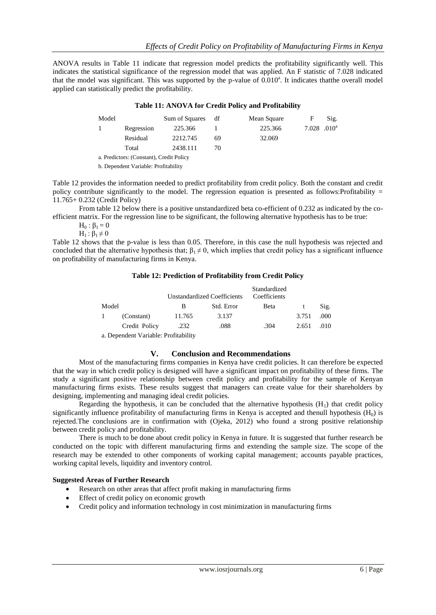ANOVA results in Table 11 indicate that regression model predicts the profitability significantly well. This indicates the statistical significance of the regression model that was applied. An F statistic of 7.028 indicated that the model was significant. This was supported by the p-value of  $0.010^a$ . It indicates thatthe overall model applied can statistically predict the profitability.

# **Table 11: ANOVA for Credit Policy and Profitability**

| Model |                                          | Sum of Squares | df | Mean Square | F                | Sig. |  |  |  |  |  |
|-------|------------------------------------------|----------------|----|-------------|------------------|------|--|--|--|--|--|
|       | Regression                               | 225.366        |    | 225.366     | $7.028$ $.010^a$ |      |  |  |  |  |  |
|       | Residual                                 | 2212.745       | 69 | 32.069      |                  |      |  |  |  |  |  |
|       | Total                                    | 2438.111       | 70 |             |                  |      |  |  |  |  |  |
|       | a. Predictors: (Constant). Credit Policy |                |    |             |                  |      |  |  |  |  |  |

b. Dependent Variable: Profitability

Table 12 provides the information needed to predict profitability from credit policy. Both the constant and credit policy contribute significantly to the model. The regression equation is presented as follows:Profitability =

11.765+ 0.232 (Credit Policy) From table 12 below there is a positive unstandardized beta co-efficient of 0.232 as indicated by the coefficient matrix. For the regression line to be significant, the following alternative hypothesis has to be true:

 $H_0$ :  $\beta_1 = 0$ 

 $H_1$ :  $\beta_1 \neq 0$ 

Table 12 shows that the p-value is less than 0.05. Therefore, in this case the null hypothesis was rejected and concluded that the alternative hypothesis that;  $\beta_1 \neq 0$ , which implies that credit policy has a significant influence on profitability of manufacturing firms in Kenya.

# **Table 12: Prediction of Profitability from Credit Policy**

|  |       |               |        | Unstandardized Coefficients | Standardized<br>Coefficients |       |      |
|--|-------|---------------|--------|-----------------------------|------------------------------|-------|------|
|  | Model |               | В      | Std. Error                  | <b>B</b> eta                 |       | Sig. |
|  |       | (Constant)    | 11.765 | 3.137                       |                              | 3.751 | .000 |
|  |       | Credit Policy | .232   | .088                        | .304                         | 2.651 | .010 |
|  |       |               |        |                             |                              |       |      |

a. Dependent Variable: Profitability

# **V. Conclusion and Recommendations**

Most of the manufacturing firms companies in Kenya have credit policies. It can therefore be expected that the way in which credit policy is designed will have a significant impact on profitability of these firms. The study a significant positive relationship between credit policy and profitability for the sample of Kenyan manufacturing firms exists. These results suggest that managers can create value for their shareholders by designing, implementing and managing ideal credit policies.

Regarding the hypothesis, it can be concluded that the alternative hypothesis  $(H_1)$  that credit policy significantly influence profitability of manufacturing firms in Kenya is accepted and thenull hypothesis  $(H_0)$  is rejected.The conclusions are in confirmation with (Ojeka, 2012) who found a strong positive relationship between credit policy and profitability.

There is much to be done about credit policy in Kenya in future. It is suggested that further research be conducted on the topic with different manufacturing firms and extending the sample size. The scope of the research may be extended to other components of working capital management; accounts payable practices, working capital levels, liquidity and inventory control.

# **Suggested Areas of Further Research**

- Research on other areas that affect profit making in manufacturing firms
- Effect of credit policy on economic growth
- Credit policy and information technology in cost minimization in manufacturing firms